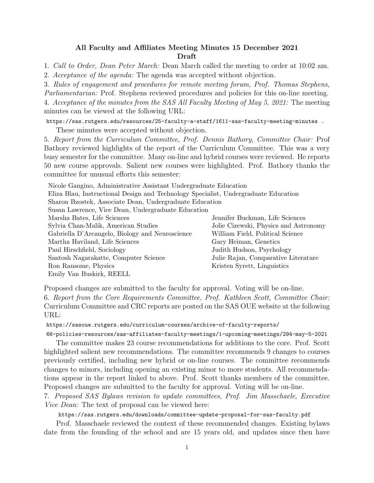## All Faculty and Affiliates Meeting Minutes 15 December 2021 Draft

1. Call to Order, Dean Peter March: Dean March called the meeting to order at 10:02 am.

2. Acceptance of the agenda: The agenda was accepted without objection.

3. Rules of engagement and procedures for remote meeting forum, Prof. Thomas Stephens, Parliamentarian: Prof. Stephens reviewed procedures and policies for this on-line meeting. 4. Acceptance of the minutes from the SAS All Faculty Meeting of May 5, 2021: The meeting minutes can be viewed at the following URL:

https://sas.rutgers.edu/resources/25-faculty-a-staff/1611-sas-faculty-meeting-minutes . These minutes were accepted without objection.

5. Report from the Curriculum Committee, Prof. Dennis Bathory, Committee Chair: Prof Bathory reviewed highlights of the report of the Curriculum Committee. This was a very busy semester for the committee. Many on-line and hybrid courses were reviewed. He reports 50 new course approvals. Salient new courses were highlighted. Prof. Bathory thanks the committee for unusual efforts this semester:

Nicole Gangino, Administrative Assistant Undergraduate Education Eliza Blau, Instructional Design and Technology Specialist, Undergraduate Education Sharon Bzostek, Associate Dean, Undergraduate Education Susan Lawrence, Vice Dean, Undergraduate Education Marsha Bates, Life Sciences Jennifer Buckman, Life Sciences Sylvia Chan-Malik, American Studies Jolie Cizewski, Physics and Astronomy Gabriella D'Arcangelo, Biology and Neuroscience William Field, Political Science Martha Haviland, Life Sciences Gary Heiman, Genetics Paul Hirschfield, Sociology Judith Hudson, Psychology Santosh Nagarakatte, Computer Science Julie Rajan, Comparative Literature Ron Ransome, Physics Kristen Syrett, Linguistics Emily Van Buskirk, REELL

Proposed changes are submitted to the faculty for approval. Voting will be on-line.

6. Report from the Core Requirements Committee, Prof. Kathleen Scott, Committee Chair: Curriculum Committee and CRC reports are posted on the SAS OUE website at the following URL:

https://sasoue.rutgers.edu/curriculum-courses/archive-of-faculty-reports/

66-policies-resources/sas-affiliates-faculty-meetings/1-upcoming-meetings/294-may-5-2021

The committee makes 23 course recommendations for additions to the core. Prof. Scott highlighted salient new recommendations. The committee recommends 9 changes to courses previously certified, including new hybrid or on-line courses. The committee recommends changes to minors, including opening an existing minor to more students. All recommendations appear in the report linked to above. Prof. Scott thanks members of the committee. Proposed changes are submitted to the faculty for approval. Voting will be on-line.

7. Proposed SAS Bylaws revision to update committees, Prof. Jim Masschaele, Executive *Vice Dean:* The text of proposal can be viewed here:

https://sas.rutgers.edu/downloads/committee-update-proposal-for-sas-faculty.pdf

Prof. Masschaele reviewed the context of these recommended changes. Existing bylaws date from the founding of the school and are 15 years old, and updates since then have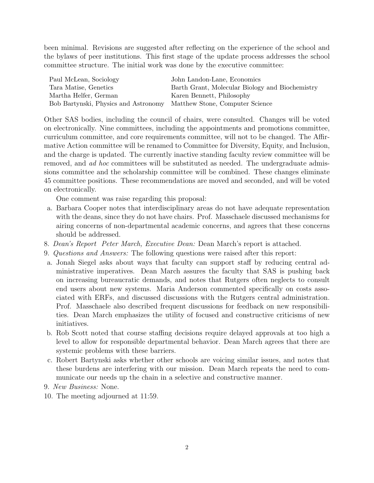been minimal. Revisions are suggested after reflecting on the experience of the school and the bylaws of peer institutions. This first stage of the update process addresses the school committee structure. The initial work was done by the executive committee:

| Paul McLean, Sociology                                               | John Landon-Lane, Economics                     |
|----------------------------------------------------------------------|-------------------------------------------------|
| Tara Matise, Genetics                                                | Barth Grant, Molecular Biology and Biochemistry |
| Martha Helfer, German                                                | Karen Bennett, Philosophy                       |
| Bob Bartynski, Physics and Astronomy Matthew Stone, Computer Science |                                                 |

Other SAS bodies, including the council of chairs, were consulted. Changes will be voted on electronically. Nine committees, including the appointments and promotions committee, curriculum committee, and core requirements committee, will not to be changed. The Affirmative Action committee will be renamed to Committee for Diversity, Equity, and Inclusion, and the charge is updated. The currently inactive standing faculty review committee will be removed, and ad hoc committees will be substituted as needed. The undergraduate admissions committee and the scholarship committee will be combined. These changes eliminate 45 committee positions. These recommendations are moved and seconded, and will be voted on electronically.

One comment was raise regarding this proposal:

- a. Barbara Cooper notes that interdisciplinary areas do not have adequate representation with the deans, since they do not have chairs. Prof. Masschaele discussed mechanisms for airing concerns of non-departmental academic concerns, and agrees that these concerns should be addressed.
- 8. Dean's Report Peter March, Executive Dean: Dean March's report is attached.
- 9. Questions and Answers: The following questions were raised after this report:
- a. Jonah Siegel asks about ways that faculty can support staff by reducing central administrative imperatives. Dean March assures the faculty that SAS is pushing back on increasing bureaucratic demands, and notes that Rutgers often neglects to consult end users about new systems. Maria Anderson commented specifically on costs associated with ERFs, and discussed discussions with the Rutgers central administration. Prof. Masschaele also described frequent discussions for feedback on new responsibilities. Dean March emphasizes the utility of focused and constructive criticisms of new initiatives.
- b. Rob Scott noted that course staffing decisions require delayed approvals at too high a level to allow for responsible departmental behavior. Dean March agrees that there are systemic problems with these barriers.
- c. Robert Bartynski asks whether other schools are voicing similar issues, and notes that these burdens are interfering with our mission. Dean March repeats the need to communicate our needs up the chain in a selective and constructive manner.
- 9. New Business: None.
- 10. The meeting adjourned at 11:59.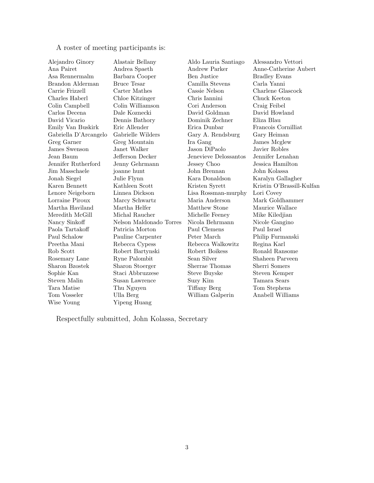A roster of meeting participants is:

| Alejandro Ginory      | Alastair Bellany        | Aldo Lauria Santiago  | Alessandro Vettori        |
|-----------------------|-------------------------|-----------------------|---------------------------|
| Ana Pairet            | Andrea Spaeth           | Andrew Parker         | Anne-Catherine Aubert     |
| Asa Rennermalm        | Barbara Cooper          | Ben Justice           | <b>Bradley Evans</b>      |
| Brandon Alderman      | <b>Bruce Tesar</b>      | Camilla Stevens       | Carla Yanni               |
| Carrie Frizzell       | Carter Mathes           | Cassie Nelson         | Charlene Glascock         |
| Charles Haberl        | Chloe Kitzinger         | Chris Iannini         | Chuck Keeton              |
| Colin Campbell        | Colin Williamson        | Cori Anderson         | Craig Feibel              |
| Carlos Decena         | Dale Koznecki           | David Goldman         | David Howland             |
| David Vicario         | Dennis Bathory          | Dominik Zechner       | Eliza Blau                |
| Emily Van Buskirk     | Eric Allender           | Erica Dunbar          | Francois Cornilliat       |
| Gabriella D'Arcangelo | Gabrielle Wilders       | Gary A. Rendsburg     | Gary Heiman               |
| Greg Garner           | Greg Mountain           | Ira Gang              | James Mcglew              |
| James Swenson         | Janet Walker            | Jason DiPaolo         | Javier Robles             |
| Jean Baum             | Jefferson Decker        | Jenevieve Delossantos | Jennifer Lenahan          |
| Jennifer Rutherford   | Jenny Gehrmann          | Jessey Choo           | Jessica Hamilton          |
| Jim Masschaele        | joanne hunt             | John Brennan          | John Kolassa              |
| Jonah Siegel          | Julie Flynn             | Kara Donaldson        | Karalyn Gallagher         |
| Karen Bennett         | Kathleen Scott          | Kristen Syrett        | Kristin O'Brassill-Kulfan |
| Lenore Neigeborn      | Linnea Dickson          | Lisa Rossman-murphy   | Lori Covey                |
| Lorraine Piroux       | Marcy Schwartz          | Maria Anderson        | Mark Goldhammer           |
| Martha Haviland       | Martha Helfer           | Matthew Stone         | Maurice Wallace           |
| Meredith McGill       | Michal Raucher          | Michelle Feeney       | Mike Kiledjian            |
| Nancy Sinkoff         | Nelson Maldonado Torres | Nicola Behrmann       | Nicole Gangino            |
| Paola Tartakoff       | Patricia Morton         | Paul Clemens          | Paul Israel               |
| Paul Schalow          | Pauline Carpenter       | Peter March           | Philip Furmanski          |
| Preetha Mani          | Rebecca Cypess          | Rebecca Walkowitz     | Regina Karl               |
| Rob Scott             | Robert Bartynski        | Robert Boikess        | Ronald Ransome            |
| Rosemary Lane         | Ryne Palombit           | Sean Silver           | Shaheen Parveen           |
| Sharon Bzostek        | Sharon Stoerger         | Sherrae Thomas        | Sherri Somers             |
| Sophie Kan            | Staci Abbruzzese        | <b>Steve Buyske</b>   | Steven Kemper             |
| Steven Malin          | Susan Lawrence          | Suzy Kim              | Tamara Sears              |
| Tara Matise           | Thu Nguyen              | Tiffany Berg          | Tom Stephens              |
| Tom Vosseler          | Ulla Berg               | William Galperin      | Anabell Williams          |
| Wise Young            | Yipeng Huang            |                       |                           |
|                       |                         |                       |                           |

Respectfully submitted, John Kolassa, Secretary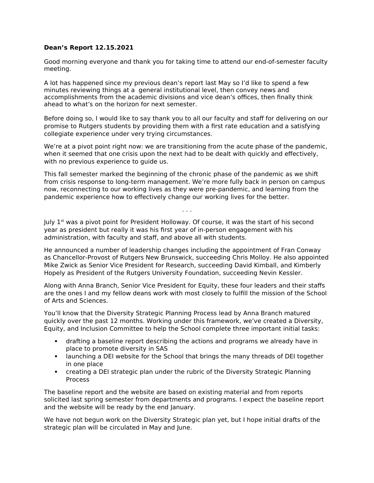## **Dean's Report 12.15.2021**

Good morning everyone and thank you for taking time to attend our end-of-semester faculty meeting.

A lot has happened since my previous dean's report last May so I'd like to spend a few minutes reviewing things at a general institutional level, then convey news and accomplishments from the academic divisions and vice dean's offices, then finally think ahead to what's on the horizon for next semester.

Before doing so, I would like to say thank you to all our faculty and staff for delivering on our promise to Rutgers students by providing them with a first rate education and a satisfying collegiate experience under very trying circumstances.

We're at a pivot point right now: we are transitioning from the acute phase of the pandemic, when it seemed that one crisis upon the next had to be dealt with quickly and effectively, with no previous experience to guide us.

This fall semester marked the beginning of the chronic phase of the pandemic as we shift from crisis response to long-term management. We're more fully back in person on campus now, reconnecting to our working lives as they were pre-pandemic, and learning from the pandemic experience how to effectively change our working lives for the better.

. . .

July  $1<sup>st</sup>$  was a pivot point for President Holloway. Of course, it was the start of his second year as president but really it was his first year of in-person engagement with his administration, with faculty and staff, and above all with students.

He announced a number of leadership changes including the appointment of Fran Conway as Chancellor-Provost of Rutgers New Brunswick, succeeding Chris Molloy. He also appointed Mike Zwick as Senior Vice President for Research, succeeding David Kimball, and Kimberly Hopely as President of the Rutgers University Foundation, succeeding Nevin Kessler.

Along with Anna Branch, Senior Vice President for Equity, these four leaders and their staffs are the ones I and my fellow deans work with most closely to fulfill the mission of the School of Arts and Sciences.

You'll know that the Diversity Strategic Planning Process lead by Anna Branch matured quickly over the past 12 months. Working under this framework, we've created a Diversity, Equity, and Inclusion Committee to help the School complete three important initial tasks:

- drafting a baseline report describing the actions and programs we already have in place to promote diversity in SAS
- launching a DEI website for the School that brings the many threads of DEI together in one place
- creating a DEI strategic plan under the rubric of the Diversity Strategic Planning Process

The baseline report and the website are based on existing material and from reports solicited last spring semester from departments and programs. I expect the baseline report and the website will be ready by the end January.

We have not begun work on the Diversity Strategic plan yet, but I hope initial drafts of the strategic plan will be circulated in May and June.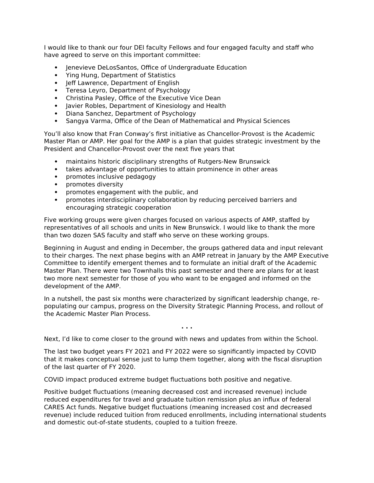I would like to thank our four DEI faculty Fellows and four engaged faculty and staff who have agreed to serve on this important committee:

- Jenevieve DeLosSantos, Office of Undergraduate Education
- Ying Hung, Department of Statistics
- Jeff Lawrence, Department of English
- Teresa Leyro, Department of Psychology
- Christina Pasley, Office of the Executive Vice Dean
- Javier Robles, Department of Kinesiology and Health
- Diana Sanchez, Department of Psychology
- Sangya Varma, Office of the Dean of Mathematical and Physical Sciences

You'll also know that Fran Conway's first initiative as Chancellor-Provost is the Academic Master Plan or AMP. Her goal for the AMP is a plan that guides strategic investment by the President and Chancellor-Provost over the next five years that

- maintains historic disciplinary strengths of Rutgers-New Brunswick
- takes advantage of opportunities to attain prominence in other areas
- promotes inclusive pedagogy
- promotes diversity
- promotes engagement with the public, and
- promotes interdisciplinary collaboration by reducing perceived barriers and encouraging strategic cooperation

Five working groups were given charges focused on various aspects of AMP, staffed by representatives of all schools and units in New Brunswick. I would like to thank the more than two dozen SAS faculty and staff who serve on these working groups.

Beginning in August and ending in December, the groups gathered data and input relevant to their charges. The next phase begins with an AMP retreat in January by the AMP Executive Committee to identify emergent themes and to formulate an initial draft of the Academic Master Plan. There were two Townhalls this past semester and there are plans for at least two more next semester for those of you who want to be engaged and informed on the development of the AMP.

In a nutshell, the past six months were characterized by significant leadership change, repopulating our campus, progress on the Diversity Strategic Planning Process, and rollout of the Academic Master Plan Process.

**. . .**

Next, I'd like to come closer to the ground with news and updates from within the School.

The last two budget years FY 2021 and FY 2022 were so significantly impacted by COVID that it makes conceptual sense just to lump them together, along with the fiscal disruption of the last quarter of FY 2020.

COVID impact produced extreme budget fluctuations both positive and negative.

Positive budget fluctuations (meaning decreased cost and increased revenue) include reduced expenditures for travel and graduate tuition remission plus an influx of federal CARES Act funds. Negative budget fluctuations (meaning increased cost and decreased revenue) include reduced tuition from reduced enrollments, including international students and domestic out-of-state students, coupled to a tuition freeze.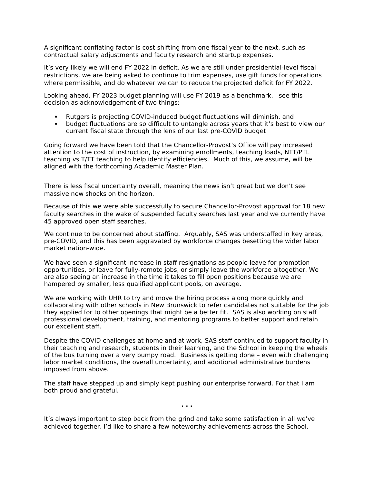A significant conflating factor is cost-shifting from one fiscal year to the next, such as contractual salary adjustments and faculty research and startup expenses.

It's very likely we will end FY 2022 in deficit. As we are still under presidential-level fiscal restrictions, we are being asked to continue to trim expenses, use gift funds for operations where permissible, and do whatever we can to reduce the projected deficit for FY 2022.

Looking ahead, FY 2023 budget planning will use FY 2019 as a benchmark. I see this decision as acknowledgement of two things:

- Rutgers is projecting COVID-induced budget fluctuations will diminish, and
- budget fluctuations are so difficult to untangle across years that it's best to view our current fiscal state through the lens of our last pre-COVID budget

Going forward we have been told that the Chancellor-Provost's Office will pay increased attention to the cost of instruction, by examining enrollments, teaching loads, NTT/PTL teaching vs T/TT teaching to help identify efficiencies. Much of this, we assume, will be aligned with the forthcoming Academic Master Plan.

There is less fiscal uncertainty overall, meaning the news isn't great but we don't see massive new shocks on the horizon.

Because of this we were able successfully to secure Chancellor-Provost approval for 18 new faculty searches in the wake of suspended faculty searches last year and we currently have 45 approved open staff searches.

We continue to be concerned about staffing. Arguably, SAS was understaffed in key areas, pre-COVID, and this has been aggravated by workforce changes besetting the wider labor market nation-wide.

We have seen a significant increase in staff resignations as people leave for promotion opportunities, or leave for fully-remote jobs, or simply leave the workforce altogether. We are also seeing an increase in the time it takes to fill open positions because we are hampered by smaller, less qualified applicant pools, on average.

We are working with UHR to try and move the hiring process along more quickly and collaborating with other schools in New Brunswick to refer candidates not suitable for the job they applied for to other openings that might be a better fit. SAS is also working on staff professional development, training, and mentoring programs to better support and retain our excellent staff.

Despite the COVID challenges at home and at work, SAS staff continued to support faculty in their teaching and research, students in their learning, and the School in keeping the wheels of the bus turning over a very bumpy road. Business is getting done – even with challenging labor market conditions, the overall uncertainty, and additional administrative burdens imposed from above.

**. . .**

The staff have stepped up and simply kept pushing our enterprise forward. For that I am both proud and grateful.

It's always important to step back from the grind and take some satisfaction in all we've achieved together. I'd like to share a few noteworthy achievements across the School.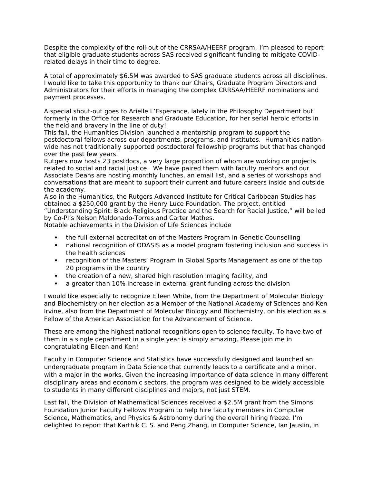Despite the complexity of the roll-out of the CRRSAA/HEERF program, I'm pleased to report that eligible graduate students across SAS received significant funding to mitigate COVIDrelated delays in their time to degree.

A total of approximately \$6.5M was awarded to SAS graduate students across all disciplines. I would like to take this opportunity to thank our Chairs, Graduate Program Directors and Administrators for their efforts in managing the complex CRRSAA/HEERF nominations and payment processes.

A special shout-out goes to Arielle L'Esperance, lately in the Philosophy Department but formerly in the Office for Research and Graduate Education, for her serial heroic efforts in the field and bravery in the line of duty!

This fall, the Humanities Division launched a mentorship program to support the postdoctoral fellows across our departments, programs, and institutes. Humanities nationwide has not traditionally supported postdoctoral fellowship programs but that has changed over the past few years.

Rutgers now hosts 23 postdocs, a very large proportion of whom are working on projects related to social and racial justice. We have paired them with faculty mentors and our Associate Deans are hosting monthly lunches, an email list, and a series of workshops and conversations that are meant to support their current and future careers inside and outside the academy.

Also in the Humanities, the Rutgers Advanced Institute for Critical Caribbean Studies has obtained a \$250,000 grant by the Henry Luce Foundation. The project, entitled "Understanding Spirit: Black Religious Practice and the Search for Racial Justice," will be led by Co-PI's Nelson Maldonado-Torres and Carter Mathes.

Notable achievements in the Division of Life Sciences include

- the full external accreditation of the Masters Program in Genetic Counselling
- national recognition of ODASIS as a model program fostering inclusion and success in the health sciences
- recognition of the Masters' Program in Global Sports Management as one of the top 20 programs in the country
- the creation of a new, shared high resolution imaging facility, and
- a greater than 10% increase in external grant funding across the division

I would like especially to recognize Eileen White, from the Department of Molecular Biology and Biochemistry on her election as a Member of the National Academy of Sciences and Ken Irvine, also from the Department of Molecular Biology and Biochemistry, on his election as a Fellow of the American Association for the Advancement of Science.

These are among the highest national recognitions open to science faculty. To have two of them in a single department in a single year is simply amazing. Please join me in congratulating Eileen and Ken!

Faculty in Computer Science and Statistics have successfully designed and launched an undergraduate program in Data Science that currently leads to a certificate and a minor, with a major in the works. Given the increasing importance of data science in many different disciplinary areas and economic sectors, the program was designed to be widely accessible to students in many different disciplines and majors, not just STEM.

Last fall, the Division of Mathematical Sciences received a \$2.5M grant from the Simons Foundation Junior Faculty Fellows Program to help hire faculty members in Computer Science, Mathematics, and Physics & Astronomy during the overall hiring freeze. I'm delighted to report that Karthik C. S. and Peng Zhang, in Computer Science, Ian Jauslin, in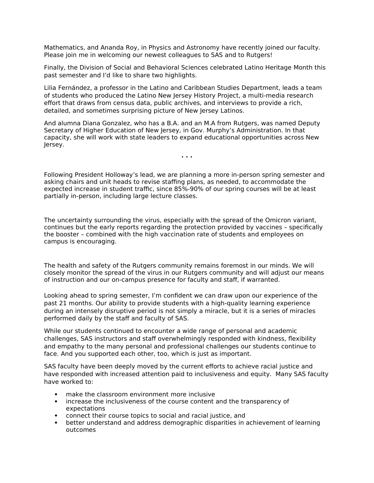Mathematics, and Ananda Roy, in Physics and Astronomy have recently joined our faculty. Please join me in welcoming our newest colleagues to SAS and to Rutgers!

Finally, the Division of Social and Behavioral Sciences celebrated Latino Heritage Month this past semester and I'd like to share two highlights.

Lilia Fernández, a professor in the Latino and Caribbean Studies Department, leads a team of students who produced the Latino New Jersey History Project, a multi-media research effort that draws from census data, public archives, and interviews to provide a rich, detailed, and sometimes surprising picture of New Jersey Latinos.

And alumna Diana Gonzalez, who has a B.A. and an M.A from Rutgers, was named Deputy Secretary of Higher Education of New Jersey, in Gov. Murphy's Administration. In that capacity, she will work with state leaders to expand educational opportunities across New Jersey.

Following President Holloway's lead, we are planning a more in-person spring semester and asking chairs and unit heads to revise staffing plans, as needed, to accommodate the expected increase in student traffic, since 85%-90% of our spring courses will be at least partially in-person, including large lecture classes.

**. . .**

The uncertainty surrounding the virus, especially with the spread of the Omicron variant, continues but the early reports regarding the protection provided by vaccines – specifically the booster – combined with the high vaccination rate of students and employees on campus is encouraging.

The health and safety of the Rutgers community remains foremost in our minds. We will closely monitor the spread of the virus in our Rutgers community and will adjust our means of instruction and our on-campus presence for faculty and staff, if warranted.

Looking ahead to spring semester, I'm confident we can draw upon our experience of the past 21 months. Our ability to provide students with a high-quality learning experience during an intensely disruptive period is not simply a miracle, but it is a series of miracles performed daily by the staff and faculty of SAS.

While our students continued to encounter a wide range of personal and academic challenges, SAS instructors and staff overwhelmingly responded with kindness, flexibility and empathy to the many personal and professional challenges our students continue to face. And you supported each other, too, which is just as important.

SAS faculty have been deeply moved by the current efforts to achieve racial justice and have responded with increased attention paid to inclusiveness and equity. Many SAS faculty have worked to:

- make the classroom environment more inclusive
- increase the inclusiveness of the course content and the transparency of expectations
- connect their course topics to social and racial justice, and
- better understand and address demographic disparities in achievement of learning outcomes